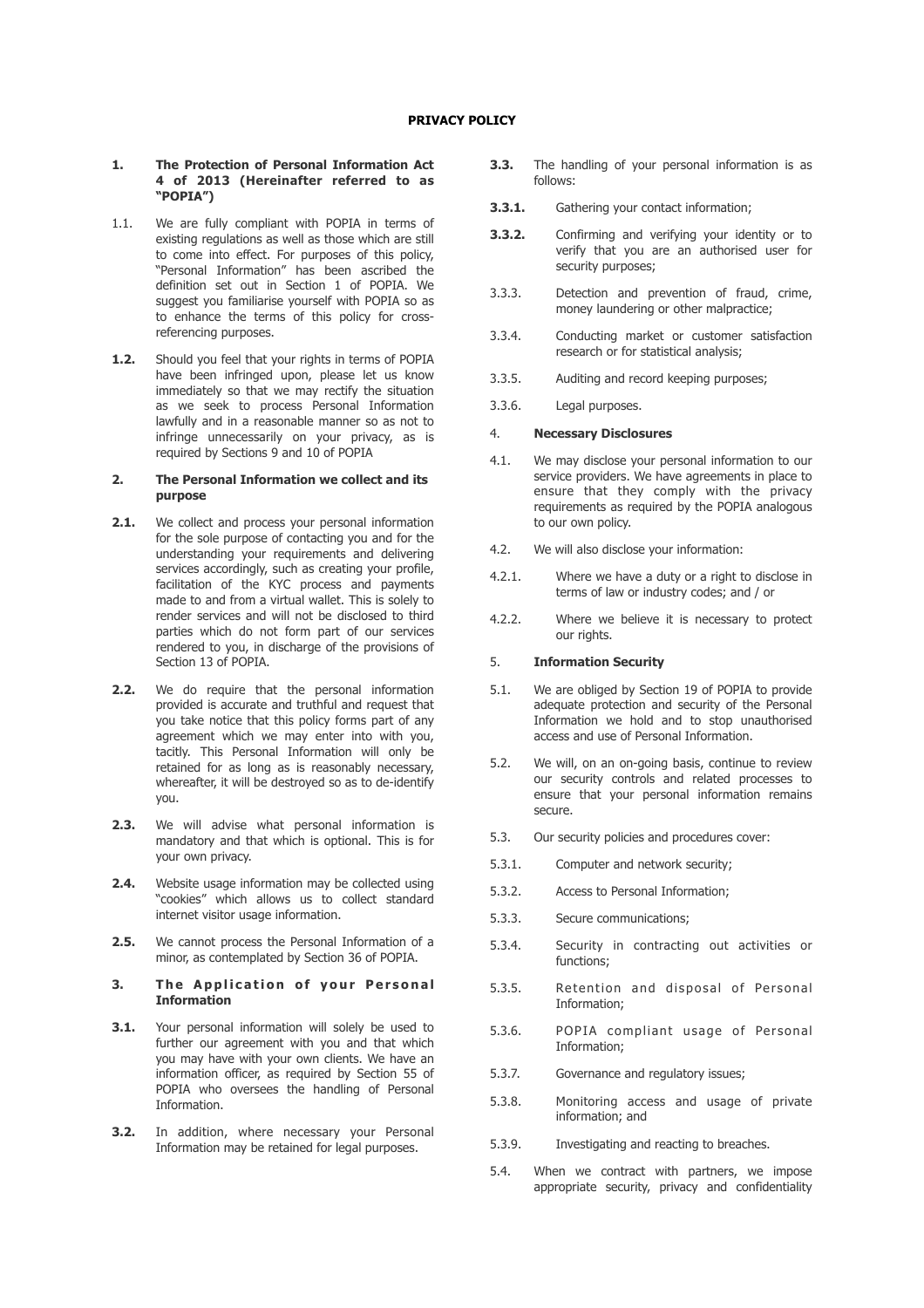#### **1. The Protection of Personal Information Act 4 of 2013 (Hereinafter referred to as "POPIA")**

- 1.1. We are fully compliant with POPIA in terms of existing regulations as well as those which are still to come into effect. For purposes of this policy, "Personal Information" has been ascribed the definition set out in Section 1 of POPIA. We suggest you familiarise yourself with POPIA so as to enhance the terms of this policy for crossreferencing purposes.
- **1.2.** Should you feel that your rights in terms of POPIA have been infringed upon, please let us know immediately so that we may rectify the situation as we seek to process Personal Information lawfully and in a reasonable manner so as not to infringe unnecessarily on your privacy, as is required by Sections 9 and 10 of POPIA

#### **2. The Personal Information we collect and its purpose**

- **2.1.** We collect and process your personal information for the sole purpose of contacting you and for the understanding your requirements and delivering services accordingly, such as creating your profile, facilitation of the KYC process and payments made to and from a virtual wallet. This is solely to render services and will not be disclosed to third parties which do not form part of our services rendered to you, in discharge of the provisions of Section 13 of POPIA.
- **2.2.** We do require that the personal information provided is accurate and truthful and request that you take notice that this policy forms part of any agreement which we may enter into with you, tacitly. This Personal Information will only be retained for as long as is reasonably necessary, whereafter, it will be destroyed so as to de-identify you.
- **2.3.** We will advise what personal information is mandatory and that which is optional. This is for your own privacy.
- **2.4.** Website usage information may be collected using "cookies" which allows us to collect standard internet visitor usage information.
- **2.5.** We cannot process the Personal Information of a minor, as contemplated by Section 36 of POPIA.
- **3.** The Application of your Personal **Information**
- **3.1.** Your personal information will solely be used to further our agreement with you and that which you may have with your own clients. We have an information officer, as required by Section 55 of POPIA who oversees the handling of Personal Information.
- **3.2.** In addition, where necessary your Personal Information may be retained for legal purposes.
- **3.3.** The handling of your personal information is as follows:
- **3.3.1.** Gathering your contact information;
- **3.3.2.** Confirming and verifying your identity or to verify that you are an authorised user for security purposes;
- 3.3.3. Detection and prevention of fraud, crime, money laundering or other malpractice;
- 3.3.4. Conducting market or customer satisfaction research or for statistical analysis;
- 3.3.5. Auditing and record keeping purposes;
- 3.3.6. Legal purposes.

## 4. **Necessary Disclosures**

- 4.1. We may disclose your personal information to our service providers. We have agreements in place to ensure that they comply with the privacy requirements as required by the POPIA analogous to our own policy.
- 4.2. We will also disclose your information:
- 4.2.1. Where we have a duty or a right to disclose in terms of law or industry codes; and / or
- 4.2.2. Where we believe it is necessary to protect our rights.

### 5. **Information Security**

- 5.1. We are obliged by Section 19 of POPIA to provide adequate protection and security of the Personal Information we hold and to stop unauthorised access and use of Personal Information.
- 5.2. We will, on an on-going basis, continue to review our security controls and related processes to ensure that your personal information remains secure.
- 5.3. Our security policies and procedures cover:
- 5.3.1. Computer and network security;
- 5.3.2. Access to Personal Information;
- 5.3.3. Secure communications;
- 5.3.4. Security in contracting out activities or functions;
- 5.3.5. Retention and disposal of Personal Information;
- 5.3.6. POPIA compliant usage of Personal Information;
- 5.3.7. Governance and regulatory issues;
- 5.3.8. Monitoring access and usage of private information; and
- 5.3.9. Investigating and reacting to breaches.
- 5.4. When we contract with partners, we impose appropriate security, privacy and confidentiality